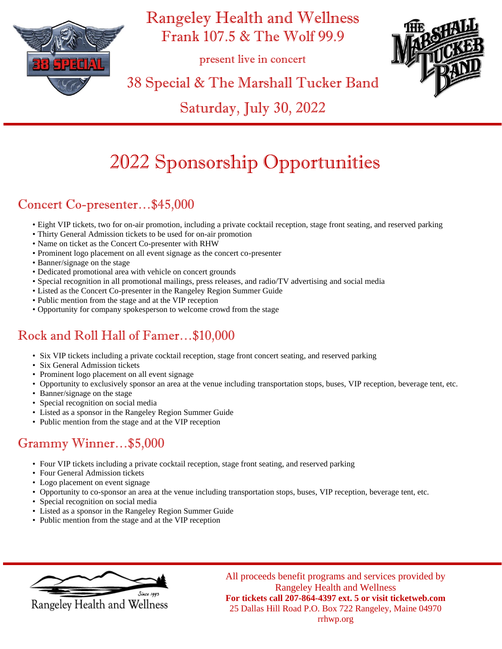

Rangeley Health and Wellness Frank 107.5 & The Wolf 99.9

present live in concert



38 Special & The Marshall Tucker Band

Saturday, July 30, 2022

# 2022 Sponsorship Opportunities

## Concert Co-presenter…\$45,000

- Eight VIP tickets, two for on-air promotion, including a private cocktail reception, stage front seating, and reserved parking
- Thirty General Admission tickets to be used for on-air promotion
- Name on ticket as the Concert Co-presenter with RHW
- Prominent logo placement on all event signage as the concert co-presenter
- Banner/signage on the stage
- Dedicated promotional area with vehicle on concert grounds
- Special recognition in all promotional mailings, press releases, and radio/TV advertising and social media
- Listed as the Concert Co-presenter in the Rangeley Region Summer Guide
- Public mention from the stage and at the VIP reception
- Opportunity for company spokesperson to welcome crowd from the stage

## Rock and Roll Hall of Famer…\$10,000

- Six VIP tickets including a private cocktail reception, stage front concert seating, and reserved parking
- Six General Admission tickets
- Prominent logo placement on all event signage
- Opportunity to exclusively sponsor an area at the venue including transportation stops, buses, VIP reception, beverage tent, etc.
- Banner/signage on the stage
- Special recognition on social media
- Listed as a sponsor in the Rangeley Region Summer Guide
- Public mention from the stage and at the VIP reception

## Grammy Winner…\$5,000

- Four VIP tickets including a private cocktail reception, stage front seating, and reserved parking
- Four General Admission tickets
- Logo placement on event signage
- Opportunity to co-sponsor an area at the venue including transportation stops, buses, VIP reception, beverage tent, etc.
- Special recognition on social media
- Listed as a sponsor in the Rangeley Region Summer Guide
- Public mention from the stage and at the VIP reception



All proceeds benefit programs and services provided by Rangeley Health and Wellness **For tickets call 207-864-4397 ext. 5 or visit ticketweb.com** 25 Dallas Hill Road P.O. Box 722 Rangeley, Maine 04970 rrhwp.org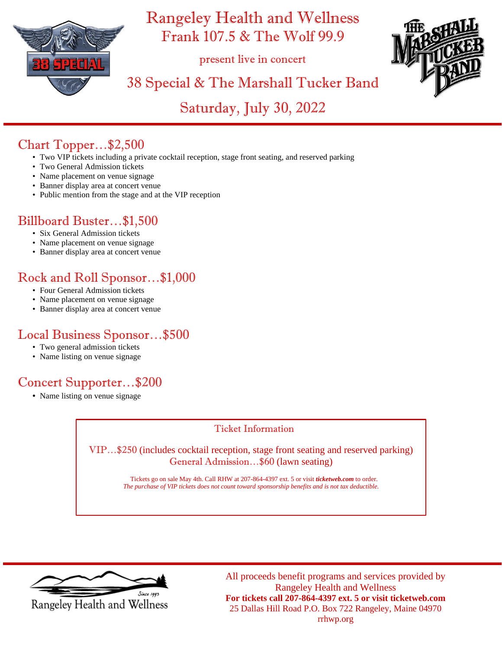

Rangeley Health and Wellness Frank 107.5 & The Wolf 99.9

present live in concert



## 38 Special & The Marshall Tucker Band

Saturday, July 30, 2022

#### Chart Topper…\$2,500

- Two VIP tickets including a private cocktail reception, stage front seating, and reserved parking
- Two General Admission tickets
- Name placement on venue signage
- Banner display area at concert venue
- Public mention from the stage and at the VIP reception

#### Billboard Buster…\$1,500

- Six General Admission tickets
- Name placement on venue signage
- Banner display area at concert venue

### Rock and Roll Sponsor…\$1,000

- Four General Admission tickets
- Name placement on venue signage
- Banner display area at concert venue

#### Local Business Sponsor…\$500

- Two general admission tickets
- Name listing on venue signage

### Concert Supporter…\$200

• Name listing on venue signage

#### Ticket Information

VIP…\$250 (includes cocktail reception, stage front seating and reserved parking) General Admission…\$60 (lawn seating)

> Tickets go on sale May 4th. Call RHW at 207-864-4397 ext. 5 or visit *ticketweb.com* to order. *The purchase of VIP tickets does not count toward sponsorship benefits and is not tax deductible.*



Rangeley Health and Wellness

All proceeds benefit programs and services provided by Rangeley Health and Wellness **For tickets call 207-864-4397 ext. 5 or visit ticketweb.com** 25 Dallas Hill Road P.O. Box 722 Rangeley, Maine 04970 rrhwp.org